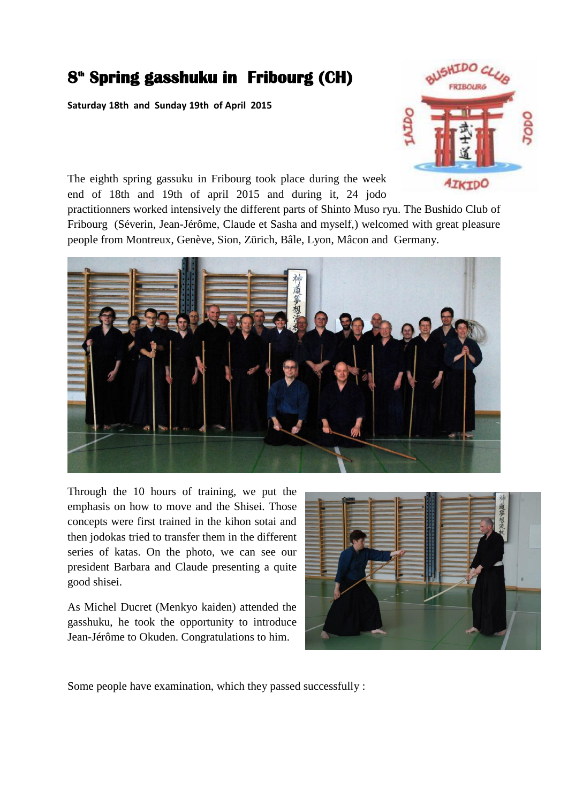## **8 th Spring gasshuku in Fribourg (CH)**

**Saturday 18th and Sunday 19th of April 2015**



The eighth spring gassuku in Fribourg took place during the week end of 18th and 19th of april 2015 and during it, 24 jodo

practitionners worked intensively the different parts of Shinto Muso ryu. The Bushido Club of Fribourg (Séverin, Jean-Jérôme, Claude et Sasha and myself,) welcomed with great pleasure people from Montreux, Genève, Sion, Zürich, Bâle, Lyon, Mâcon and Germany.



Through the 10 hours of training, we put the emphasis on how to move and the Shisei. Those concepts were first trained in the kihon sotai and then jodokas tried to transfer them in the different series of katas. On the photo, we can see our president Barbara and Claude presenting a quite good shisei.

As Michel Ducret (Menkyo kaiden) attended the gasshuku, he took the opportunity to introduce Jean-Jérôme to Okuden. Congratulations to him.



Some people have examination, which they passed successfully :